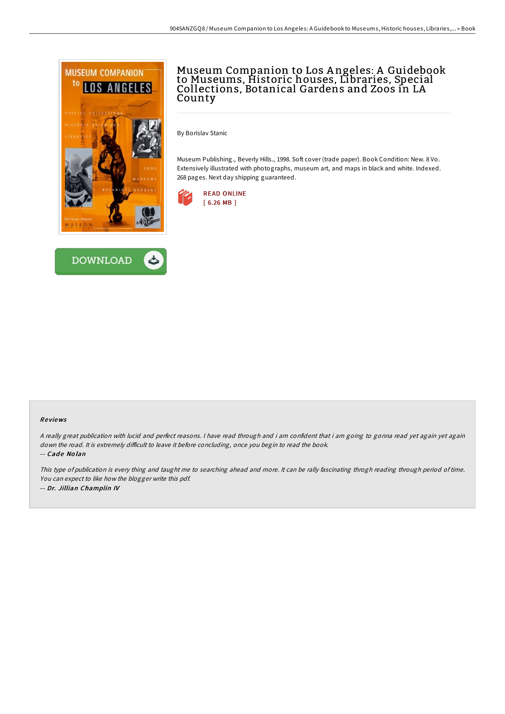



# Museum Companion to Los A ngeles: A Guidebook to Museums, Historic houses, Libraries, Special Collections, Botanical Gardens and Zoos in LA County

By Borislav Stanic

Museum Publishing., Beverly Hills., 1998. Soft cover (trade paper). Book Condition: New. 8 Vo. Extensively illustrated with photographs, museum art, and maps in black and white. Indexed. 268 pages. Next day shipping guaranteed.



### Re views

<sup>A</sup> really great publication with lucid and perfect reasons. <sup>I</sup> have read through and i am confident that i am going to gonna read yet again yet again down the road. It is extremely difficult to leave it before concluding, once you begin to read the book. -- Cade Nolan

This type of publication is every thing and taught me to searching ahead and more. It can be rally fascinating throgh reading through period of time. You can expect to like how the blogger write this pdf. -- Dr. Jillian Champlin IV